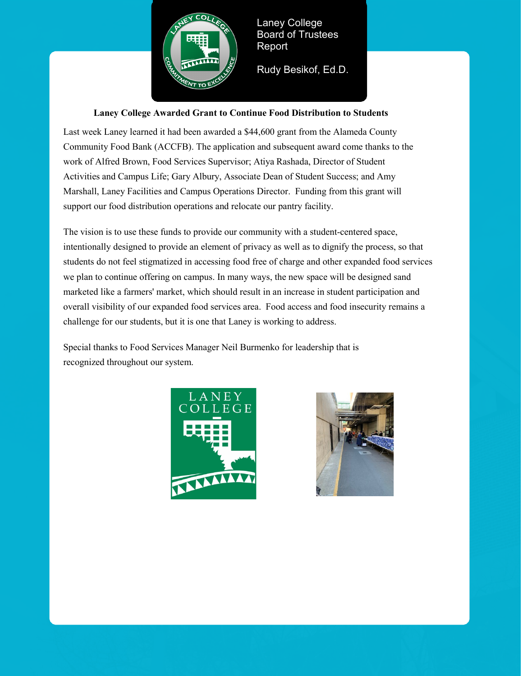

Laney College Board of Trustees Report

Rudy Besikof, Ed.D.

## **Laney College Awarded Grant to Continue Food Distribution to Students**

Last week Laney learned it had been awarded a \$44,600 grant from the Alameda County Community Food Bank (ACCFB). The application and subsequent award come thanks to the work of Alfred Brown, Food Services Supervisor; Atiya Rashada, Director of Student Activities and Campus Life; Gary Albury, Associate Dean of Student Success; and Amy Marshall, Laney Facilities and Campus Operations Director. Funding from this grant will support our food distribution operations and relocate our pantry facility.

The vision is to use these funds to provide our community with a student-centered space, intentionally designed to provide an element of privacy as well as to dignify the process, so that students do not feel stigmatized in accessing food free of charge and other expanded food services we plan to continue offering on campus. In many ways, the new space will be designed sand marketed like a farmers' market, which should result in an increase in student participation and overall visibility of our expanded food services area. Food access and food insecurity remains a challenge for our students, but it is one that Laney is working to address.

Special thanks to Food Services Manager Neil Burmenko for leadership that is recognized throughout our system.